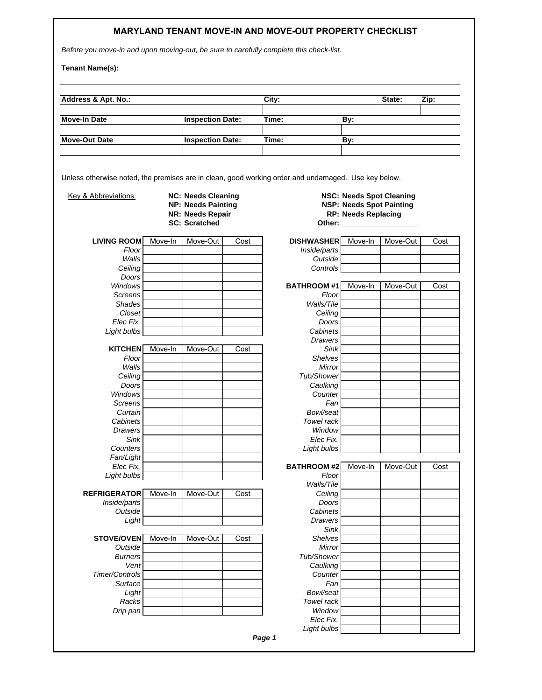## **MARYLAND TENANT MOVE-IN AND MOVE-OUT PROPERTY CHECKLIST**

*Before you move-in and upon moving-out, be sure to carefully complete this check-list.* 

| Address & Apt. No.:             |                                                    |                                                                                                    | City: | State:                                                                                              | Zip:                                                                                                                |          |      |
|---------------------------------|----------------------------------------------------|----------------------------------------------------------------------------------------------------|-------|-----------------------------------------------------------------------------------------------------|---------------------------------------------------------------------------------------------------------------------|----------|------|
| Move-In Date                    | <b>Inspection Date:</b><br><b>Inspection Date:</b> |                                                                                                    | Time: | By:                                                                                                 |                                                                                                                     |          |      |
| <b>Move-Out Date</b>            |                                                    |                                                                                                    | Time: | By:                                                                                                 |                                                                                                                     |          |      |
|                                 |                                                    |                                                                                                    |       |                                                                                                     |                                                                                                                     |          |      |
|                                 |                                                    |                                                                                                    |       | Unless otherwise noted, the premises are in clean, good working order and undamaged. Use key below. |                                                                                                                     |          |      |
| <b>Key &amp; Abbreviations:</b> |                                                    | <b>NC: Needs Cleaning</b><br><b>NP: Needs Painting</b><br>NR: Needs Repair<br><b>SC: Scratched</b> |       |                                                                                                     | <b>NSC: Needs Spot Cleaning</b><br><b>NSP: Needs Spot Painting</b><br><b>RP: Needs Replacing</b><br>Other: ________ |          |      |
| <b>LIVING ROOM</b>              | Move-In                                            | Move-Out                                                                                           | Cost  | <b>DISHWASHER</b>                                                                                   | Move-In                                                                                                             | Move-Out | Cost |
| Floor                           |                                                    |                                                                                                    |       | Inside/parts                                                                                        |                                                                                                                     |          |      |
| Walls                           |                                                    |                                                                                                    |       | Outside                                                                                             |                                                                                                                     |          |      |
| Ceiling                         |                                                    |                                                                                                    |       | Controls                                                                                            |                                                                                                                     |          |      |
| Doors<br>Windows                |                                                    |                                                                                                    |       | <b>BATHROOM#1</b>                                                                                   | Move-In                                                                                                             | Move-Out | Cost |
| <b>Screens</b>                  |                                                    |                                                                                                    |       | Floor                                                                                               |                                                                                                                     |          |      |
| <b>Shades</b>                   |                                                    |                                                                                                    |       | Walls/Tile                                                                                          |                                                                                                                     |          |      |
| Closet                          |                                                    |                                                                                                    |       | Ceiling                                                                                             |                                                                                                                     |          |      |
| Elec Fix.                       |                                                    |                                                                                                    |       | Doors                                                                                               |                                                                                                                     |          |      |
| Light bulbs                     |                                                    |                                                                                                    |       | Cabinets                                                                                            |                                                                                                                     |          |      |
| <b>KITCHEN</b>                  | Move-In                                            | Move-Out                                                                                           | Cost  | Drawers<br>Sink                                                                                     |                                                                                                                     |          |      |
| Floor                           |                                                    |                                                                                                    |       | <b>Shelves</b>                                                                                      |                                                                                                                     |          |      |
| Walls                           |                                                    |                                                                                                    |       | Mirror                                                                                              |                                                                                                                     |          |      |
| Ceiling                         |                                                    |                                                                                                    |       | Tub/Shower                                                                                          |                                                                                                                     |          |      |
| Doors                           |                                                    |                                                                                                    |       | Caulking                                                                                            |                                                                                                                     |          |      |
| Windows                         |                                                    |                                                                                                    |       | Counter                                                                                             |                                                                                                                     |          |      |
| <b>Screens</b><br>Curtain       |                                                    |                                                                                                    |       | Fan<br>Bowl/seat                                                                                    |                                                                                                                     |          |      |
| Cabinets                        |                                                    |                                                                                                    |       | Towel rack                                                                                          |                                                                                                                     |          |      |
| Drawers                         |                                                    |                                                                                                    |       | Window                                                                                              |                                                                                                                     |          |      |
| Sink                            |                                                    |                                                                                                    |       | Elec Fix.                                                                                           |                                                                                                                     |          |      |
| Counters                        |                                                    |                                                                                                    |       | Light bulbs                                                                                         |                                                                                                                     |          |      |
| Fan/Light                       |                                                    |                                                                                                    |       |                                                                                                     |                                                                                                                     |          |      |
| Elec Fix.<br>Light bulbs        |                                                    |                                                                                                    |       | <b>BATHROOM#2</b><br>Floor                                                                          | Move-In                                                                                                             | Move-Out | Cost |
|                                 |                                                    |                                                                                                    |       | Walls/Tile                                                                                          |                                                                                                                     |          |      |
| <b>REFRIGERATOR</b>             | Move-In                                            | Move-Out                                                                                           | Cost  | Ceiling                                                                                             |                                                                                                                     |          |      |
| Inside/parts                    |                                                    |                                                                                                    |       | Doors                                                                                               |                                                                                                                     |          |      |
| Outside                         |                                                    |                                                                                                    |       | Cabinets                                                                                            |                                                                                                                     |          |      |
| Light                           |                                                    |                                                                                                    |       | <b>Drawers</b>                                                                                      |                                                                                                                     |          |      |
| <b>STOVE/OVEN</b>               | Move-In                                            | Move-Out                                                                                           | Cost  | Sink<br><b>Shelves</b>                                                                              |                                                                                                                     |          |      |
| Outside                         |                                                    |                                                                                                    |       | Mirror                                                                                              |                                                                                                                     |          |      |
| <b>Burners</b>                  |                                                    |                                                                                                    |       | Tub/Shower                                                                                          |                                                                                                                     |          |      |
| Vent                            |                                                    |                                                                                                    |       | Caulking                                                                                            |                                                                                                                     |          |      |
| <b>Timer/Controls</b>           |                                                    |                                                                                                    |       | Counter                                                                                             |                                                                                                                     |          |      |
| Surface                         |                                                    |                                                                                                    |       | Fan                                                                                                 |                                                                                                                     |          |      |
| Light                           |                                                    |                                                                                                    |       | Bowl/seat                                                                                           |                                                                                                                     |          |      |
| Racks<br>Drip pan               |                                                    |                                                                                                    |       | Towel rack<br>Window                                                                                |                                                                                                                     |          |      |
|                                 |                                                    |                                                                                                    |       | Elec Fix.                                                                                           |                                                                                                                     |          |      |
|                                 |                                                    |                                                                                                    |       | Light bulbs                                                                                         |                                                                                                                     |          |      |

*Page 1*